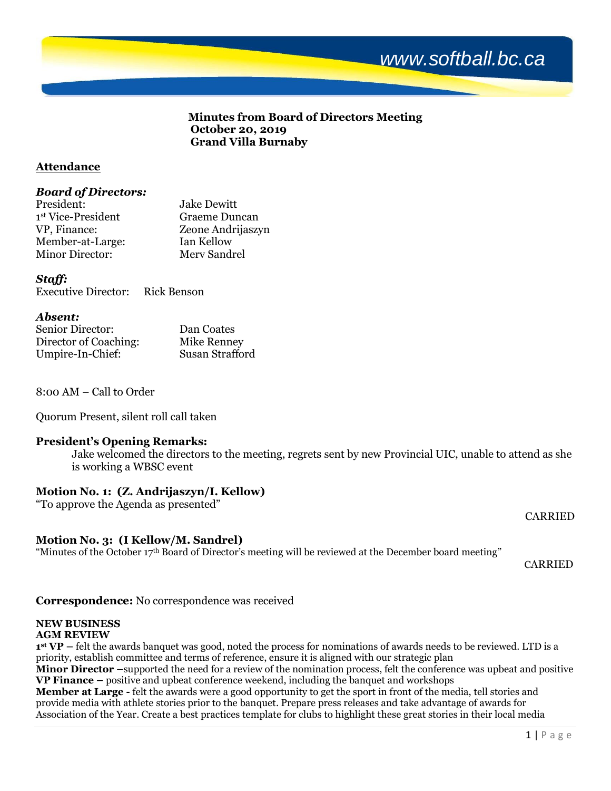# *www.softball.bc.ca*

## **Minutes from Board of Directors Meeting October 20, 2019 Grand Villa Burnaby**

## **Attendance**

#### *Board of Directors:*

| President:             | <b>Jake Dewitt</b> |
|------------------------|--------------------|
| 1st Vice-President     | Graeme Duncan      |
| VP, Finance:           | Zeone Andrijaszyn  |
| Member-at-Large:       | Ian Kellow         |
| <b>Minor Director:</b> | Merv Sandrel       |

## *Staff:*

Executive Director: Rick Benson

#### *Absent:*

| Senior Director:      | Dan Coates      |
|-----------------------|-----------------|
| Director of Coaching: | Mike Renney     |
| Umpire-In-Chief:      | Susan Strafford |

8:00 AM – Call to Order

Quorum Present, silent roll call taken

# **President's Opening Remarks:**

Jake welcomed the directors to the meeting, regrets sent by new Provincial UIC, unable to attend as she is working a WBSC event

# **Motion No. 1: (Z. Andrijaszyn/I. Kellow)**

"To approve the Agenda as presented"

# **Motion No. 3: (I Kellow/M. Sandrel)**

"Minutes of the October 17<sup>th</sup> Board of Director's meeting will be reviewed at the December board meeting"

CARRIED

CARRIED

# **Correspondence:** No correspondence was received

#### **NEW BUSINESS AGM REVIEW**

**1 st VP –** felt the awards banquet was good, noted the process for nominations of awards needs to be reviewed. LTD is a priority, establish committee and terms of reference, ensure it is aligned with our strategic plan **Minor Director** –supported the need for a review of the nomination process, felt the conference was upbeat and positive

**VP Finance –** positive and upbeat conference weekend, including the banquet and workshops **Member at Large -** felt the awards were a good opportunity to get the sport in front of the media, tell stories and

provide media with athlete stories prior to the banquet. Prepare press releases and take advantage of awards for Association of the Year. Create a best practices template for clubs to highlight these great stories in their local media